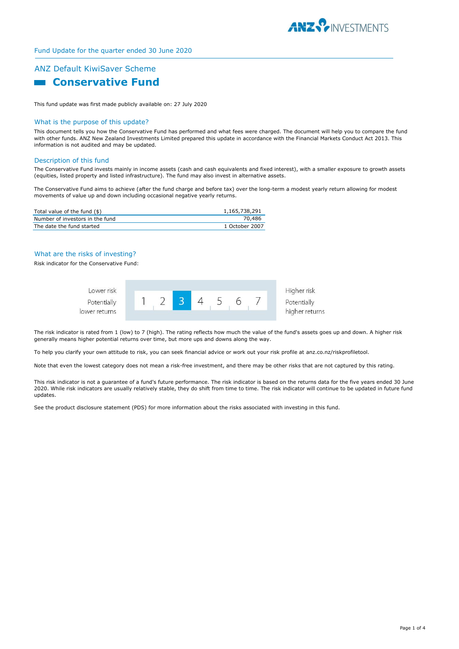

# Fund Update for the quarter ended 30 June 2020

# ANZ Default KiwiSaver Scheme **Example 2 Conservative Fund**

This fund update was first made publicly available on: 27 July 2020

#### What is the purpose of this update?

This document tells you how the Conservative Fund has performed and what fees were charged. The document will help you to compare the fund with other funds. ANZ New Zealand Investments Limited prepared this update in accordance with the Financial Markets Conduct Act 2013. This information is not audited and may be updated.

#### Description of this fund

The Conservative Fund invests mainly in income assets (cash and cash equivalents and fixed interest), with a smaller exposure to growth assets (equities, listed property and listed infrastructure). The fund may also invest in alternative assets.

The Conservative Fund aims to achieve (after the fund charge and before tax) over the long-term a modest yearly return allowing for modest movements of value up and down including occasional negative yearly returns.

| Total value of the fund (\$)    | 1,165,738,291  |
|---------------------------------|----------------|
| Number of investors in the fund | 70.486         |
| The date the fund started       | 1 October 2007 |

## What are the risks of investing?

Risk indicator for the Conservative Fund:



The risk indicator is rated from 1 (low) to 7 (high). The rating reflects how much the value of the fund's assets goes up and down. A higher risk generally means higher potential returns over time, but more ups and downs along the way.

To help you clarify your own attitude to risk, you can seek financial advice or work out your risk profile at anz.co.nz/riskprofiletool.

Note that even the lowest category does not mean a risk-free investment, and there may be other risks that are not captured by this rating.

This risk indicator is not a guarantee of a fund's future performance. The risk indicator is based on the returns data for the five years ended 30 June 2020. While risk indicators are usually relatively stable, they do shift from time to time. The risk indicator will continue to be updated in future fund updates.

See the product disclosure statement (PDS) for more information about the risks associated with investing in this fund.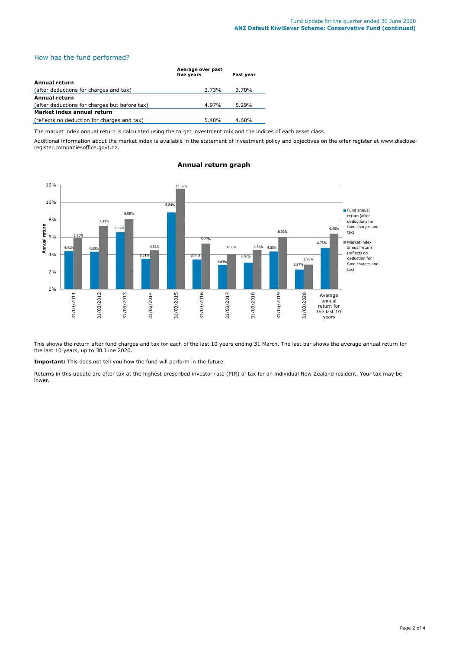# How has the fund performed?

|                                               | Average over past<br>five vears | Past vear |  |
|-----------------------------------------------|---------------------------------|-----------|--|
| Annual return                                 |                                 |           |  |
| (after deductions for charges and tax)        | 3.73%                           | 3.70%     |  |
| Annual return                                 |                                 |           |  |
| (after deductions for charges but before tax) | 4.97%                           | $5.29\%$  |  |
| Market index annual return                    |                                 |           |  |
| (reflects no deduction for charges and tax)   | 5.48%                           | 4.68%     |  |

The market index annual return is calculated using the target investment mix and the indices of each asset class.

Additional information about the market index is available in the statement of investment policy and objectives on the offer register at www.discloseregister.companiesoffice.govt.nz.



# **Annual return graph**

This shows the return after fund charges and tax for each of the last 10 years ending 31 March. The last bar shows the average annual return for the last 10 years, up to 30 June 2020.

**Important:** This does not tell you how the fund will perform in the future.

Returns in this update are after tax at the highest prescribed investor rate (PIR) of tax for an individual New Zealand resident. Your tax may be lower.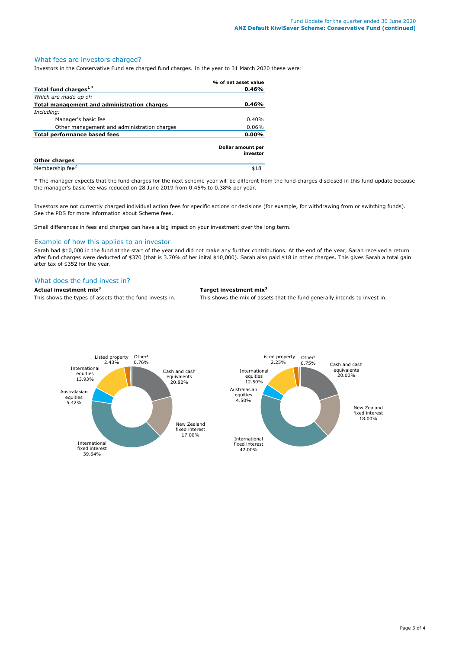# What fees are investors charged?

Investors in the Conservative Fund are charged fund charges. In the year to 31 March 2020 these were:

|                                                    | % of net asset value          |
|----------------------------------------------------|-------------------------------|
| Total fund charges <sup>1*</sup>                   | 0.46%                         |
| Which are made up of:                              |                               |
| <b>Total management and administration charges</b> | 0.46%                         |
| Including:                                         |                               |
| Manager's basic fee                                | 0.40%                         |
| Other management and administration charges        | 0.06%                         |
| <b>Total performance based fees</b>                | 0.00%                         |
|                                                    | Dollar amount per<br>investor |
| <b>Other charges</b>                               |                               |
| Membership fee <sup>2</sup>                        | \$18                          |

\* The manager expects that the fund charges for the next scheme year will be different from the fund charges disclosed in this fund update because the manager's basic fee was reduced on 28 June 2019 from 0.45% to 0.38% per year.

Investors are not currently charged individual action fees for specific actions or decisions (for example, for withdrawing from or switching funds). See the PDS for more information about Scheme fees.

Small differences in fees and charges can have a big impact on your investment over the long term.

#### Example of how this applies to an investor

Sarah had \$10,000 in the fund at the start of the year and did not make any further contributions. At the end of the year, Sarah received a return after fund charges were deducted of \$370 (that is 3.70% of her inital \$10,000). Sarah also paid \$18 in other charges. This gives Sarah a total gain after tax of \$352 for the year.

# What does the fund invest in?

### **Actual investment mix<sup>3</sup> Target investment mix<sup>3</sup>**

This shows the types of assets that the fund invests in. This shows the mix of assets that the fund generally intends to invest in.